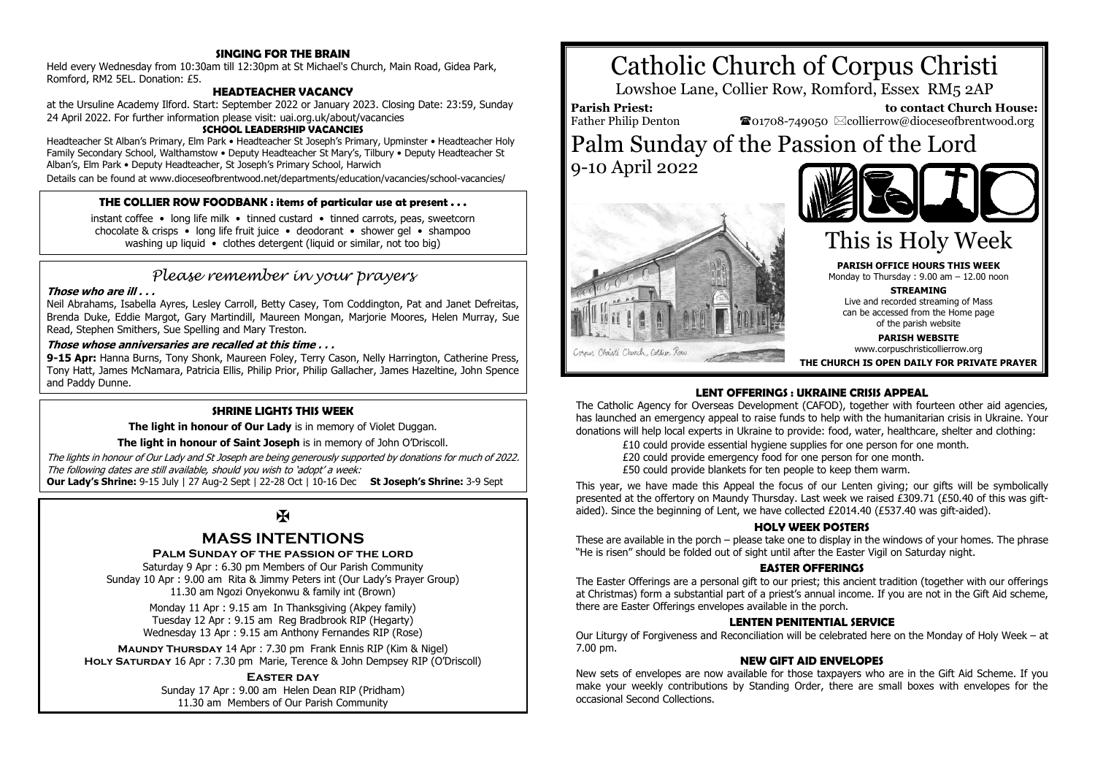# **SINGING FOR THE BRAIN**

Held every Wednesday from 10:30am till 12:30pm at St Michael's Church, Main Road, Gidea Park, Romford, RM2 5EL. Donation: £5.

# **HEADTEACHER VACANCY**

at the Ursuline Academy Ilford. Start: September 2022 or January 2023. Closing Date: 23:59, Sunday 24 April 2022. For further information please visit: uai.org.uk/about/vacancies

#### **SCHOOL LEADERSHIP VACANCIES**

Headteacher St Alban's Primary, Elm Park • Headteacher St Joseph's Primary, Upminster • Headteacher Holy Family Secondary School, Walthamstow • Deputy Headteacher St Mary's, Tilbury • Deputy Headteacher St Alban's, Elm Park • Deputy Headteacher, St Joseph's Primary School, Harwich

Details can be found at www.dioceseofbrentwood.net/departments/education/vacancies/school-vacancies/

# **THE COLLIER ROW FOODBANK : items of particular use at present . . .**

instant coffee • long life milk • tinned custard • tinned carrots, peas, sweetcorn chocolate & crisps • long life fruit juice • deodorant • shower gel • shampoo washing up liquid • clothes detergent (liquid or similar, not too big)

# *Please remember in your prayers*

#### **Those who are ill . . .**

Neil Abrahams, Isabella Ayres, Lesley Carroll, Betty Casey, Tom Coddington, Pat and Janet Defreitas, Brenda Duke, Eddie Margot, Gary Martindill, Maureen Mongan, Marjorie Moores, Helen Murray, Sue Read, Stephen Smithers, Sue Spelling and Mary Treston.

#### **Those whose anniversaries are recalled at this time . . .**

**9-15 Apr:** Hanna Burns, Tony Shonk, Maureen Foley, Terry Cason, Nelly Harrington, Catherine Press, Tony Hatt, James McNamara, Patricia Ellis, Philip Prior, Philip Gallacher, James Hazeltine, John Spence and Paddy Dunne.

#### **SHRINE LIGHTS THIS WEEK**

**The light in honour of Our Lady** is in memory of Violet Duggan.

**The light in honour of Saint Joseph** is in memory of John O'Driscoll.

The lights in honour of Our Lady and St Joseph are being generously supported by donations for much of 2022. The following dates are still available, should you wish to 'adopt' a week:

**Our Lady's Shrine:** 9-15 July | 27 Aug-2 Sept | 22-28 Oct | 10-16 Dec **St Joseph's Shrine:** 3-9 Sept

# $\mathbf K$

# **MASS INTENTIONS**

#### **Palm Sunday of the passion of the lord**

Saturday 9 Apr : 6.30 pm Members of Our Parish Community Sunday 10 Apr : 9.00 am Rita & Jimmy Peters int (Our Lady's Prayer Group) 11.30 am Ngozi Onyekonwu & family int (Brown)

> Monday 11 Apr : 9.15 am In Thanksgiving (Akpey family) Tuesday 12 Apr : 9.15 am Reg Bradbrook RIP (Hegarty) Wednesday 13 Apr : 9.15 am Anthony Fernandes RIP (Rose)

**Maundy Thursday** 14 Apr : 7.30 pm Frank Ennis RIP (Kim & Nigel) **Holy Saturday** 16 Apr : 7.30 pm Marie, Terence & John Dempsey RIP (O'Driscoll)

#### **Easter day**

Sunday 17 Apr : 9.00 am Helen Dean RIP (Pridham) 11.30 am Members of Our Parish Community







# This is Holy Week

**PARISH OFFICE HOURS THIS WEEK** Monday to Thursday : 9.00 am – 12.00 noon

**STREAMING**

Live and recorded streaming of Mass can be accessed from the Home page of the parish website

**PARISH WEBSITE**

www.corpuschristicollierrow.org

**THE CHURCH IS OPEN DAILY FOR PRIVATE PRAYER**

# **LENT OFFERINGS : UKRAINE CRISIS APPEAL**

The Catholic Agency for Overseas Development (CAFOD), together with fourteen other aid agencies, has launched an emergency appeal to raise funds to help with the humanitarian crisis in Ukraine. Your donations will help local experts in Ukraine to provide: food, water, healthcare, shelter and clothing:

£10 could provide essential hygiene supplies for one person for one month.

£20 could provide emergency food for one person for one month.

£50 could provide blankets for ten people to keep them warm.

This year, we have made this Appeal the focus of our Lenten giving; our gifts will be symbolically presented at the offertory on Maundy Thursday. Last week we raised £309.71 (£50.40 of this was giftaided). Since the beginning of Lent, we have collected £2014.40 (£537.40 was gift-aided).

#### **HOLY WEEK POSTERS**

These are available in the porch – please take one to display in the windows of your homes. The phrase "He is risen" should be folded out of sight until after the Easter Vigil on Saturday night.

#### **EASTER OFFERINGS**

The Easter Offerings are a personal gift to our priest; this ancient tradition (together with our offerings at Christmas) form a substantial part of a priest's annual income. If you are not in the Gift Aid scheme, there are Easter Offerings envelopes available in the porch.

#### **LENTEN PENITENTIAL SERVICE**

Our Liturgy of Forgiveness and Reconciliation will be celebrated here on the Monday of Holy Week – at 7.00 pm.

#### **NEW GIFT AID ENVELOPES**

New sets of envelopes are now available for those taxpayers who are in the Gift Aid Scheme. If you make your weekly contributions by Standing Order, there are small boxes with envelopes for the occasional Second Collections.